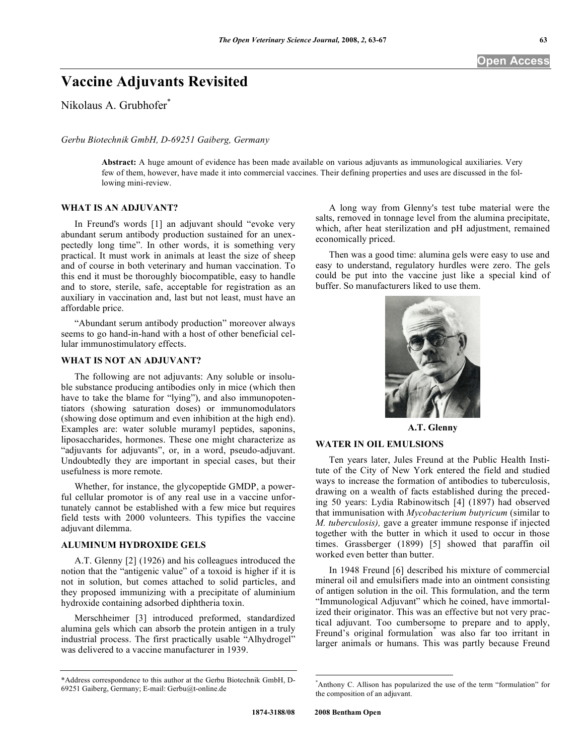# **Vaccine Adjuvants Revisited**

Nikolaus A. Grubhofer\*

*Gerbu Biotechnik GmbH, D-69251 Gaiberg, Germany* 

**Abstract:** A huge amount of evidence has been made available on various adjuvants as immunological auxiliaries. Very few of them, however, have made it into commercial vaccines. Their defining properties and uses are discussed in the following mini-review.

#### **WHAT IS AN ADJUVANT?**

 In Freund's words [1] an adjuvant should "evoke very abundant serum antibody production sustained for an unexpectedly long time". In other words, it is something very practical. It must work in animals at least the size of sheep and of course in both veterinary and human vaccination. To this end it must be thoroughly biocompatible, easy to handle and to store, sterile, safe, acceptable for registration as an auxiliary in vaccination and, last but not least, must have an affordable price.

 "Abundant serum antibody production" moreover always seems to go hand-in-hand with a host of other beneficial cellular immunostimulatory effects.

#### **WHAT IS NOT AN ADJUVANT?**

 The following are not adjuvants: Any soluble or insoluble substance producing antibodies only in mice (which then have to take the blame for "lying"), and also immunopotentiators (showing saturation doses) or immunomodulators (showing dose optimum and even inhibition at the high end). Examples are: water soluble muramyl peptides, saponins, liposaccharides, hormones. These one might characterize as "adjuvants for adjuvants", or, in a word, pseudo-adjuvant. Undoubtedly they are important in special cases, but their usefulness is more remote.

 Whether, for instance, the glycopeptide GMDP, a powerful cellular promotor is of any real use in a vaccine unfortunately cannot be established with a few mice but requires field tests with 2000 volunteers. This typifies the vaccine adjuvant dilemma.

#### **ALUMINUM HYDROXIDE GELS**

 A.T. Glenny [2] (1926) and his colleagues introduced the notion that the "antigenic value" of a toxoid is higher if it is not in solution, but comes attached to solid particles, and they proposed immunizing with a precipitate of aluminium hydroxide containing adsorbed diphtheria toxin.

 Merschheimer [3] introduced preformed, standardized alumina gels which can absorb the protein antigen in a truly industrial process. The first practically usable "Alhydrogel" was delivered to a vaccine manufacturer in 1939.

 A long way from Glenny's test tube material were the salts, removed in tonnage level from the alumina precipitate, which, after heat sterilization and pH adjustment, remained economically priced.

 Then was a good time: alumina gels were easy to use and easy to understand, regulatory hurdles were zero. The gels could be put into the vaccine just like a special kind of buffer. So manufacturers liked to use them.



**A.T. Glenny** 

#### **WATER IN OIL EMULSIONS**

 Ten years later, Jules Freund at the Public Health Institute of the City of New York entered the field and studied ways to increase the formation of antibodies to tuberculosis, drawing on a wealth of facts established during the preceding 50 years: Lydia Rabinowitsch [4] (1897) had observed that immunisation with *Mycobacterium butyricum* (similar to *M. tuberculosis),* gave a greater immune response if injected together with the butter in which it used to occur in those times. Grassberger (1899) [5] showed that paraffin oil worked even better than butter.

 In 1948 Freund [6] described his mixture of commercial mineral oil and emulsifiers made into an ointment consisting of antigen solution in the oil. This formulation, and the term "Immunological Adjuvant" which he coined, have immortalized their originator. This was an effective but not very practical adjuvant. Too cumbersome to prepare and to apply, Freund's original formulation<sup>\*</sup> was also far too irritant in larger animals or humans. This was partly because Freund

 $\overline{a}$ 

<sup>\*</sup>Address correspondence to this author at the Gerbu Biotechnik GmbH, D-69251 Gaiberg, Germany; E-mail: Gerbu@t-online.de

<sup>\*</sup> Anthony C. Allison has popularized the use of the term "formulation" for the composition of an adjuvant.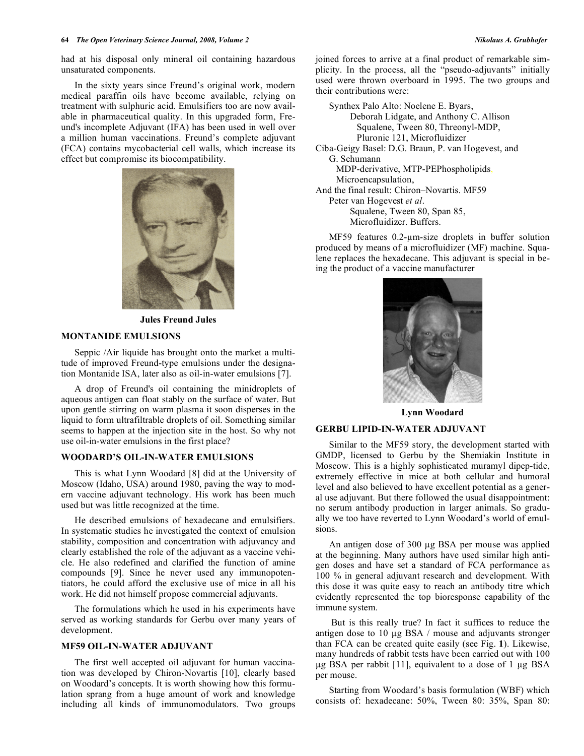had at his disposal only mineral oil containing hazardous unsaturated components.

 In the sixty years since Freund's original work, modern medical paraffin oils have become available, relying on treatment with sulphuric acid. Emulsifiers too are now available in pharmaceutical quality. In this upgraded form, Freund's incomplete Adjuvant (IFA) has been used in well over a million human vaccinations. Freund's complete adjuvant (FCA) contains mycobacterial cell walls, which increase its effect but compromise its biocompatibility.



**Jules Freund Jules** 

## **MONTANIDE EMULSIONS**

 Seppic /Air liquide has brought onto the market a multitude of improved Freund-type emulsions under the designation Montanide ISA, later also as oil-in-water emulsions [7].

 A drop of Freund's oil containing the minidroplets of aqueous antigen can float stably on the surface of water. But upon gentle stirring on warm plasma it soon disperses in the liquid to form ultrafiltrable droplets of oil. Something similar seems to happen at the injection site in the host. So why not use oil-in-water emulsions in the first place?

# **WOODARD'S OIL-IN-WATER EMULSIONS**

 This is what Lynn Woodard [8] did at the University of Moscow (Idaho, USA) around 1980, paving the way to modern vaccine adjuvant technology. His work has been much used but was little recognized at the time.

 He described emulsions of hexadecane and emulsifiers. In systematic studies he investigated the context of emulsion stability, composition and concentration with adjuvancy and clearly established the role of the adjuvant as a vaccine vehicle. He also redefined and clarified the function of amine compounds [9]. Since he never used any immunopotentiators, he could afford the exclusive use of mice in all his work. He did not himself propose commercial adjuvants.

 The formulations which he used in his experiments have served as working standards for Gerbu over many years of development.

# **MF59 OIL-IN-WATER ADJUVANT**

 The first well accepted oil adjuvant for human vaccination was developed by Chiron-Novartis [10], clearly based on Woodard's concepts. It is worth showing how this formulation sprang from a huge amount of work and knowledge including all kinds of immunomodulators. Two groups joined forces to arrive at a final product of remarkable simplicity. In the process, all the "pseudo-adjuvants" initially used were thrown overboard in 1995. The two groups and their contributions were:

 Synthex Palo Alto: Noelene E. Byars, Deborah Lidgate, and Anthony C. Allison Squalene, Tween 80, Threonyl-MDP, Pluronic 121, Microfluidizer Ciba-Geigy Basel: D.G. Braun, P. van Hogevest, and G. Schumann

 MDP-derivative, MTP-PEPhospholipids,Microencapsulation,

And the final result: Chiron–Novartis. MF59

 Peter van Hogevest *et al*. Squalene, Tween 80, Span 85, Microfluidizer. Buffers.

 $MF59$  features  $0.2$ - $\mu$ m-size droplets in buffer solution produced by means of a microfluidizer (MF) machine. Squalene replaces the hexadecane. This adjuvant is special in being the product of a vaccine manufacturer



**Lynn Woodard** 

#### **GERBU LIPID-IN-WATER ADJUVANT**

Similar to the MF59 story, the development started with GMDP, licensed to Gerbu by the Shemiakin Institute in Moscow. This is a highly sophisticated muramyl dipep-tide, extremely effective in mice at both cellular and humoral level and also believed to have excellent potential as a general use adjuvant. But there followed the usual disappointment: no serum antibody production in larger animals. So gradually we too have reverted to Lynn Woodard's world of emulsions.

An antigen dose of 300 µg BSA per mouse was applied at the beginning. Many authors have used similar high antigen doses and have set a standard of FCA performance as 100 % in general adjuvant research and development. With this dose it was quite easy to reach an antibody titre which evidently represented the top bioresponse capability of the immune system.

 But is this really true? In fact it suffices to reduce the antigen dose to  $10 \mu g$  BSA / mouse and adjuvants stronger than FCA can be created quite easily (see Fig. **1**). Likewise, many hundreds of rabbit tests have been carried out with 100  $\mu$ g BSA per rabbit [11], equivalent to a dose of 1  $\mu$ g BSA per mouse.

 Starting from Woodard's basis formulation (WBF) which consists of: hexadecane: 50%, Tween 80: 35%, Span 80: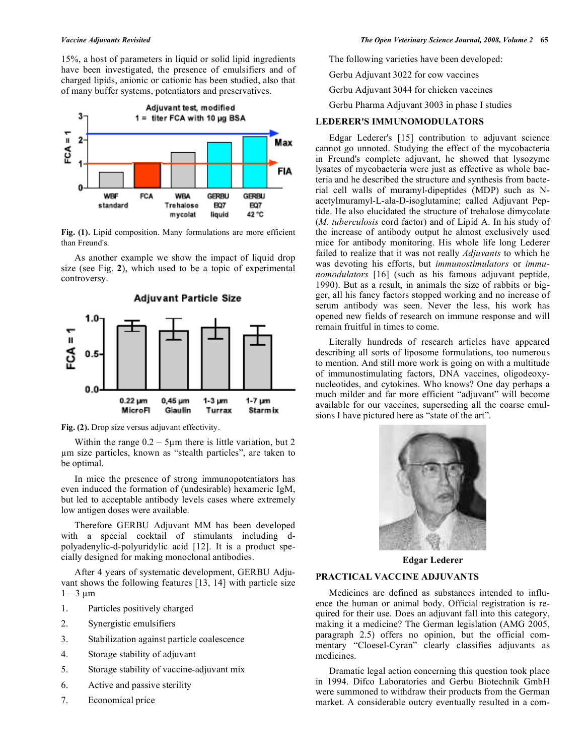15%, a host of parameters in liquid or solid lipid ingredients have been investigated, the presence of emulsifiers and of charged lipids, anionic or cationic has been studied, also that of many buffer systems, potentiators and preservatives.



Fig. (1). Lipid composition. Many formulations are more efficient than Freund's.

 As another example we show the impact of liquid drop size (see Fig. **2**), which used to be a topic of experimental controversy.



Fig. (2). Drop size versus adjuvant effectivity.

Within the range  $0.2 - 5 \mu m$  there is little variation, but 2 m size particles, known as "stealth particles", are taken to be optimal.

 In mice the presence of strong immunopotentiators has even induced the formation of (undesirable) hexameric IgM, but led to acceptable antibody levels cases where extremely low antigen doses were available.

 Therefore GERBU Adjuvant MM has been developed with a special cocktail of stimulants including dpolyadenylic-d-polyuridylic acid [12]. It is a product specially designed for making monoclonal antibodies.

 After 4 years of systematic development, GERBU Adjuvant shows the following features [13, 14] with particle size  $1 - 3 \mu m$ 

- 1. Particles positively charged
- 2. Synergistic emulsifiers
- 3. Stabilization against particle coalescence
- 4. Storage stability of adjuvant
- 5. Storage stability of vaccine-adjuvant mix
- 6. Active and passive sterility
- 7. Economical price

The following varieties have been developed:

Gerbu Adjuvant 3022 for cow vaccines

Gerbu Adjuvant 3044 for chicken vaccines

Gerbu Pharma Adjuvant 3003 in phase I studies

# **LEDERER'S IMMUNOMODULATORS**

 Edgar Lederer's [15] contribution to adjuvant science cannot go unnoted. Studying the effect of the mycobacteria in Freund's complete adjuvant, he showed that lysozyme lysates of mycobacteria were just as effective as whole bacteria and he described the structure and synthesis from bacterial cell walls of muramyl-dipeptides (MDP) such as Nacetylmuramyl-L-ala-D-isoglutamine; called Adjuvant Peptide. He also elucidated the structure of trehalose dimycolate (*M. tuberculosis* cord factor) and of Lipid A. In his study of the increase of antibody output he almost exclusively used mice for antibody monitoring. His whole life long Lederer failed to realize that it was not really *Adjuvants* to which he was devoting his efforts, but *immunostimulators* or *immunomodulators* [16] (such as his famous adjuvant peptide, 1990). But as a result, in animals the size of rabbits or bigger, all his fancy factors stopped working and no increase of serum antibody was seen. Never the less, his work has opened new fields of research on immune response and will remain fruitful in times to come.

 Literally hundreds of research articles have appeared describing all sorts of liposome formulations, too numerous to mention. And still more work is going on with a multitude of immunostimulating factors, DNA vaccines, oligodeoxynucleotides, and cytokines. Who knows? One day perhaps a much milder and far more efficient "adjuvant" will become available for our vaccines, superseding all the coarse emulsions I have pictured here as "state of the art".



**Edgar Lederer** 

# **PRACTICAL VACCINE ADJUVANTS**

 Medicines are defined as substances intended to influence the human or animal body. Official registration is required for their use. Does an adjuvant fall into this category, making it a medicine? The German legislation (AMG 2005, paragraph 2.5) offers no opinion, but the official commentary "Cloesel-Cyran" clearly classifies adjuvants as medicines.

 Dramatic legal action concerning this question took place in 1994. Difco Laboratories and Gerbu Biotechnik GmbH were summoned to withdraw their products from the German market. A considerable outcry eventually resulted in a com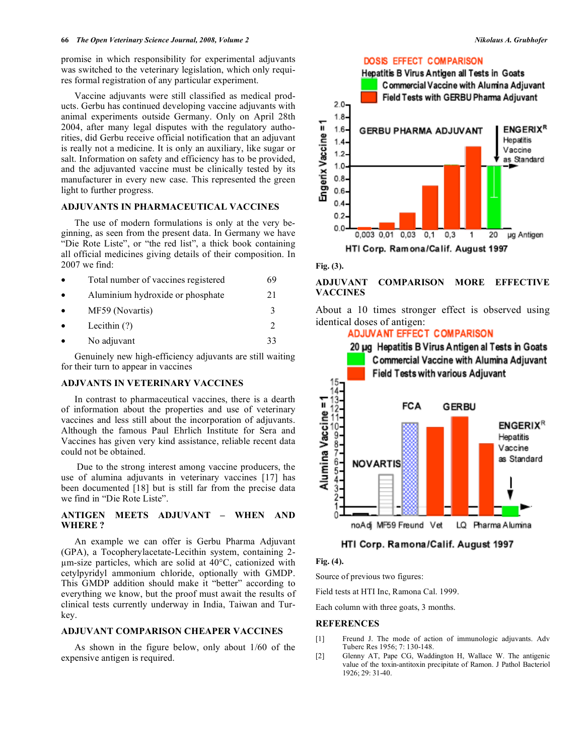promise in which responsibility for experimental adjuvants was switched to the veterinary legislation, which only requires formal registration of any particular experiment.

 Vaccine adjuvants were still classified as medical products. Gerbu has continued developing vaccine adjuvants with animal experiments outside Germany. Only on April 28th 2004, after many legal disputes with the regulatory authorities, did Gerbu receive official notification that an adjuvant is really not a medicine. It is only an auxiliary, like sugar or salt. Information on safety and efficiency has to be provided, and the adjuvanted vaccine must be clinically tested by its manufacturer in every new case. This represented the green light to further progress.

#### **ADJUVANTS IN PHARMACEUTICAL VACCINES**

 The use of modern formulations is only at the very beginning, as seen from the present data. In Germany we have "Die Rote Liste", or "the red list", a thick book containing all official medicines giving details of their composition. In 2007 we find:

| $\bullet$ | Total number of vaccines registered | 69 |
|-----------|-------------------------------------|----|
| $\bullet$ | Aluminium hydroxide or phosphate    | 21 |
| $\bullet$ | MF59 (Novartis)                     | 3  |
| $\bullet$ | Lecithin $(?)$                      | ∍  |
| $\bullet$ | No adjuvant                         | 33 |

 Genuinely new high-efficiency adjuvants are still waiting for their turn to appear in vaccines

#### **ADJVANTS IN VETERINARY VACCINES**

 In contrast to pharmaceutical vaccines, there is a dearth of information about the properties and use of veterinary vaccines and less still about the incorporation of adjuvants. Although the famous Paul Ehrlich Institute for Sera and Vaccines has given very kind assistance, reliable recent data could not be obtained.

 Due to the strong interest among vaccine producers, the use of alumina adjuvants in veterinary vaccines [17] has been documented [18] but is still far from the precise data we find in "Die Rote Liste".

#### **ANTIGEN MEETS ADJUVANT – WHEN AND WHERE ?**

 An example we can offer is Gerbu Pharma Adjuvant (GPA), a Tocopherylacetate-Lecithin system, containing 2 m-size particles, which are solid at 40°C, cationized with cetylpyridyl ammonium chloride, optionally with GMDP. This GMDP addition should make it "better" according to everything we know, but the proof must await the results of clinical tests currently underway in India, Taiwan and Turkey.

## **ADJUVANT COMPARISON CHEAPER VACCINES**

 As shown in the figure below, only about 1/60 of the expensive antigen is required.

## **DOSIS EFFECT COMPARISON**



**Fig. (3).** 

# **ADJUVANT COMPARISON MORE EFFECTIVE VACCINES**

About a 10 times stronger effect is observed using identical doses of antigen:

**ADJUVANT EFFECT COMPARISON** 



#### HTI Corp. Ramona/Calif. August 1997

#### **Fig. (4).**

Source of previous two figures:

Field tests at HTI Inc, Ramona Cal. 1999.

Each column with three goats, 3 months.

#### **REFERENCES**

- [1] Freund J. The mode of action of immunologic adjuvants. Adv Tuberc Res 1956; 7: 130-148.
- [2] Glenny AT, Pape CG, Waddington H, Wallace W. The antigenic value of the toxin-antitoxin precipitate of Ramon. J Pathol Bacteriol 1926; 29: 31-40.